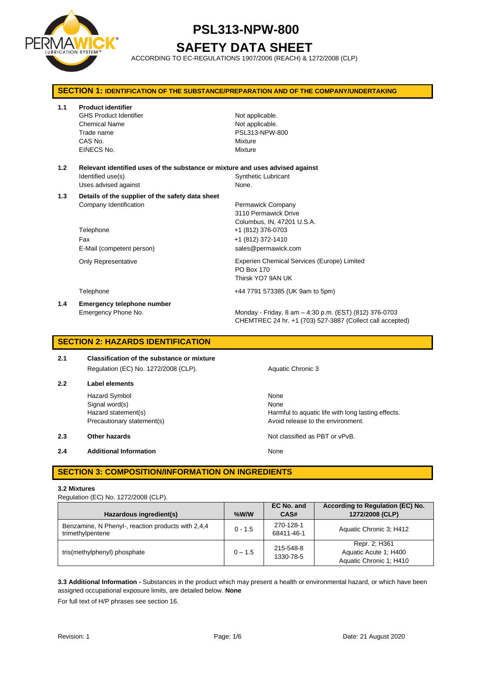

# **SAFETY DATA SHEET**

ACCORDING TO EC-REGULATIONS 1907/2006 (REACH) & 1272/2008 (CLP)

| <b>SECTION 1: IDENTIFICATION OF THE SUBSTANCE/PREPARATION AND OF THE COMPANY/UNDERTAKING</b> |                                                                                                                             |                                                                                                                                          |  |
|----------------------------------------------------------------------------------------------|-----------------------------------------------------------------------------------------------------------------------------|------------------------------------------------------------------------------------------------------------------------------------------|--|
| 1.1                                                                                          | <b>Product identifier</b><br><b>GHS Product Identifier</b><br><b>Chemical Name</b><br>Trade name<br>CAS No.<br>EINECS No.   | Not applicable.<br>Not applicable.<br>PSL313-NPW-800<br>Mixture<br>Mixture                                                               |  |
| 1.2                                                                                          | Relevant identified uses of the substance or mixture and uses advised against<br>Identified use(s)<br>Uses advised against  | <b>Synthetic Lubricant</b><br>None.                                                                                                      |  |
| 1.3                                                                                          | Details of the supplier of the safety data sheet<br>Company Identification<br>Telephone<br>Fax<br>E-Mail (competent person) | Permawick Company<br>3110 Permawick Drive<br>Columbus, IN, 47201 U.S.A.<br>+1 (812) 376-0703<br>+1 (812) 372-1410<br>sales@permawick.com |  |
|                                                                                              | <b>Only Representative</b>                                                                                                  | Experien Chemical Services (Europe) Limited<br>PO Box 170<br>Thirsk YO7 9AN UK                                                           |  |
|                                                                                              | Telephone                                                                                                                   | +44 7791 573385 (UK 9am to 5pm)                                                                                                          |  |
| 1.4                                                                                          | <b>Emergency telephone number</b><br>Emergency Phone No.                                                                    | Monday - Friday, 8 am - 4:30 p.m. (EST) (812) 376-0703<br>CHEMTREC 24 hr. +1 (703) 527-3887 (Collect call accepted)                      |  |

## **SECTION 2: HAZARDS IDENTIFICATION**

| 2.1 | Classification of the substance or mixture |  |  |
|-----|--------------------------------------------|--|--|
|     | Regulation (EC) No. 1272/2008 (CLP).       |  |  |

**2.2 Label elements** Hazard Symbol None

**2.4 Additional Information None** 

Aquatic Chronic 3

Signal word(s) None Hazard statement(s) **Harmful to aquatic life with long lasting effects.** Harmful to aquatic life with long lasting effects. Precautionary statement(s) example a method of the environment.

**2.3 Other hazards Details According to the COVID-100 Motion COVID-100 Motion COVID-100 Motion COVID-100 Motion COVID-100 Motion COVID-100 Motion COVID-100 Motion COVID-100 Motion COVID-100 Motion COVID-100 Motion COVI** 

## **SECTION 3: COMPOSITION/INFORMATION ON INGREDIENTS**

#### **3.2 Mixtures**

Regulation (EC) No. 1272/2008 (CLP).

| Hazardous ingredient(s)                                                | $%$ W/W   | EC No. and<br>CAS#      | According to Regulation (EC) No.<br>1272/2008 (CLP)               |
|------------------------------------------------------------------------|-----------|-------------------------|-------------------------------------------------------------------|
| Benzamine, N Phenyl-, reaction products with 2,4,4<br>trimethylpentene | $0 - 1.5$ | 270-128-1<br>68411-46-1 | Aquatic Chronic 3: H412                                           |
| tris(methylphenyl) phosphate                                           | $0 - 1.5$ | 215-548-8<br>1330-78-5  | Repr. 2; H361<br>Aquatic Acute 1: H400<br>Aquatic Chronic 1; H410 |

**3.3 Additional Information -** Substances in the product which may present a health or environmental hazard, or which have been assigned occupational exposure limits, are detailed below. **None**

For full text of H/P phrases see section 16.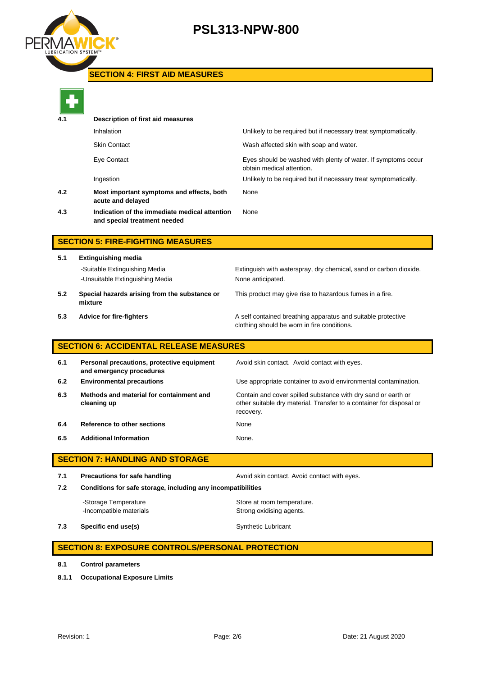

## **SECTION 4: FIRST AID MEASURES**



| _______ |                                                                               |                                                                                            |  |  |  |
|---------|-------------------------------------------------------------------------------|--------------------------------------------------------------------------------------------|--|--|--|
| 4.1     | Description of first aid measures                                             |                                                                                            |  |  |  |
|         | Inhalation                                                                    | Unlikely to be required but if necessary treat symptomatically.                            |  |  |  |
|         | <b>Skin Contact</b>                                                           | Wash affected skin with soap and water.                                                    |  |  |  |
|         | Eye Contact                                                                   | Eyes should be washed with plenty of water. If symptoms occur<br>obtain medical attention. |  |  |  |
|         | Ingestion                                                                     | Unlikely to be required but if necessary treat symptomatically.                            |  |  |  |
| 4.2     | Most important symptoms and effects, both<br>acute and delayed                | None                                                                                       |  |  |  |
| 4.3     | Indication of the immediate medical attention<br>and special treatment needed | None                                                                                       |  |  |  |
|         |                                                                               |                                                                                            |  |  |  |

## **SECTION 5: FIRE-FIGHTING MEASURES**

**5.1 Extinguishing media** -Suitable Extinguishing Media Extinguish with waterspray, dry chemical, sand or carbon dioxide. -Unsuitable Extinguishing Media None anticipated. **5.2 Special hazards arising from the substance or**  This product may give rise to hazardous fumes in a fire.

- **mixture**
- **5.3 Advice for fire-fighters A self** contained breathing apparatus and suitable protective clothing should be worn in fire conditions.

## **SECTION 6: ACCIDENTAL RELEASE MEASURES**

| 6.1 | Personal precautions, protective equipment<br>and emergency procedures | Avoid skin contact. Avoid contact with eyes.                                                                                                       |
|-----|------------------------------------------------------------------------|----------------------------------------------------------------------------------------------------------------------------------------------------|
| 6.2 | <b>Environmental precautions</b>                                       | Use appropriate container to avoid environmental contamination.                                                                                    |
| 6.3 | Methods and material for containment and<br>cleaning up                | Contain and cover spilled substance with dry sand or earth or<br>other suitable dry material. Transfer to a container for disposal or<br>recovery. |
| 6.4 | Reference to other sections                                            | None                                                                                                                                               |
| 6.5 | <b>Additional Information</b>                                          | None.                                                                                                                                              |

## **SECTION 7: HANDLING AND STORAGE**

**7.1 Precautions for safe handling Avoid skin contact. Avoid contact with eyes. 7.2 Conditions for safe storage, including any incompatibilities** -Storage Temperature **Store at room temperature.** 

**7.3 Specific end use(s)** Synthetic Lubricant

## **SECTION 8: EXPOSURE CONTROLS/PERSONAL PROTECTION**

-Incompatible materials **Strong oxidising agents**.

- **8.1 Control parameters**
- **8.1.1 Occupational Exposure Limits**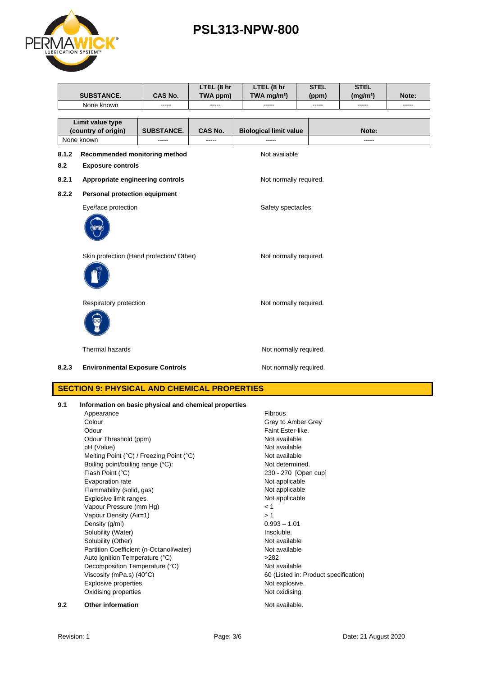

|       | <b>SUBSTANCE.</b>                                                | <b>CAS No.</b>    | LTEL (8 hr<br>TWA ppm) | LTEL (8 hr<br>TWA mg/m <sup>3</sup> ) | <b>STEL</b><br>(ppm)   | <b>STEL</b><br>(mg/m <sup>3</sup> ) | Note: |  |  |
|-------|------------------------------------------------------------------|-------------------|------------------------|---------------------------------------|------------------------|-------------------------------------|-------|--|--|
|       | None known                                                       |                   | -----                  | -----                                 | -----                  | -----                               | ----- |  |  |
|       |                                                                  |                   |                        |                                       |                        |                                     |       |  |  |
|       | Limit value type                                                 |                   |                        |                                       |                        |                                     |       |  |  |
|       | (country of origin)                                              | <b>SUBSTANCE.</b> | <b>CAS No.</b>         | <b>Biological limit value</b>         |                        | Note:                               |       |  |  |
|       | None known                                                       |                   |                        |                                       |                        | -----                               |       |  |  |
| 8.1.2 | Recommended monitoring method                                    |                   |                        |                                       | Not available          |                                     |       |  |  |
| 8.2   | <b>Exposure controls</b>                                         |                   |                        |                                       |                        |                                     |       |  |  |
| 8.2.1 | Appropriate engineering controls                                 |                   |                        | Not normally required.                |                        |                                     |       |  |  |
| 8.2.2 | <b>Personal protection equipment</b>                             |                   |                        |                                       |                        |                                     |       |  |  |
|       | Eye/face protection                                              |                   |                        | Safety spectacles.                    |                        |                                     |       |  |  |
|       |                                                                  |                   |                        |                                       |                        |                                     |       |  |  |
|       | Skin protection (Hand protection/ Other)                         |                   |                        |                                       | Not normally required. |                                     |       |  |  |
|       |                                                                  |                   |                        |                                       |                        |                                     |       |  |  |
|       | Respiratory protection                                           |                   |                        | Not normally required.                |                        |                                     |       |  |  |
|       |                                                                  |                   |                        |                                       |                        |                                     |       |  |  |
|       | Thermal hazards<br>Not normally required.                        |                   |                        |                                       |                        |                                     |       |  |  |
| 8.2.3 | <b>Environmental Exposure Controls</b><br>Not normally required. |                   |                        |                                       |                        |                                     |       |  |  |
|       | <u> CECTICULO, DUVCICAL AND CUEMICAL DRODEDTIEC</u>              |                   |                        |                                       |                        |                                     |       |  |  |

## **SECTION 9: PHYSICAL AND CHEMICAL PROPERTIES**

| 9.1 | Information on basic physical and chemical properties |                                       |  |  |
|-----|-------------------------------------------------------|---------------------------------------|--|--|
|     | Appearance                                            | Fibrous                               |  |  |
|     | Colour                                                | Grey to Amber Grey                    |  |  |
|     | Odour                                                 | Faint Ester-like.                     |  |  |
|     | Odour Threshold (ppm)                                 | Not available                         |  |  |
|     | pH (Value)                                            | Not available                         |  |  |
|     | Melting Point (°C) / Freezing Point (°C)              | Not available                         |  |  |
|     | Boiling point/boiling range (°C):                     | Not determined.                       |  |  |
|     | Flash Point (°C)                                      | 230 - 270 [Open cup]                  |  |  |
|     | Evaporation rate                                      | Not applicable                        |  |  |
|     | Flammability (solid, gas)                             | Not applicable                        |  |  |
|     | Explosive limit ranges.                               | Not applicable                        |  |  |
|     | Vapour Pressure (mm Hg)                               | < 1                                   |  |  |
|     | Vapour Density (Air=1)                                | >1                                    |  |  |
|     | Density (g/ml)                                        | $0.993 - 1.01$                        |  |  |
|     | Solubility (Water)                                    | Insoluble.                            |  |  |
|     | Solubility (Other)                                    | Not available                         |  |  |
|     | Partition Coefficient (n-Octanol/water)               | Not available                         |  |  |
|     | Auto Ignition Temperature (°C)                        | >282                                  |  |  |
|     | Decomposition Temperature (°C)                        | Not available                         |  |  |
|     | Viscosity (mPa.s) $(40^{\circ}C)$                     | 60 (Listed in: Product specification) |  |  |
|     | Explosive properties                                  | Not explosive.                        |  |  |
|     | Oxidising properties                                  | Not oxidising.                        |  |  |
| 9.2 | <b>Other information</b>                              | Not available.                        |  |  |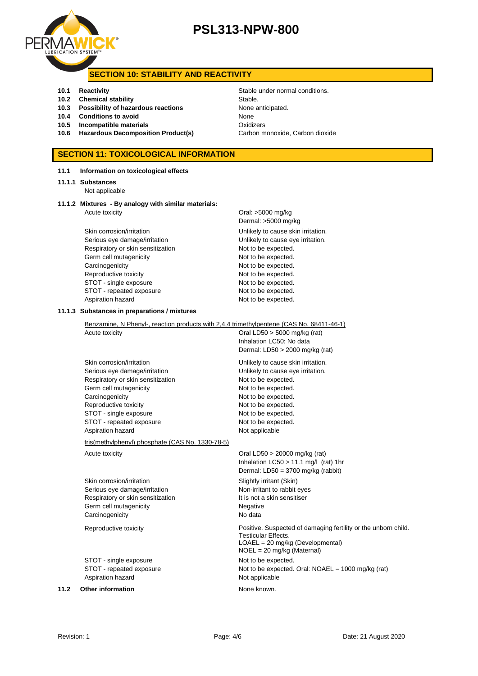

## **SECTION 10: STABILITY AND REACTIVITY**

- 
- **10.2 Chemical stability** Stable
- **10.3 Possibility of hazardous reactions** None anticipated.
- **10.4 Conditions to avoid** None
- **10.5 Incompatible materials** Oxidizers
- **10.6 Hazardous Decomposition Product(s)** Carbon monoxide, Carbon dioxide

## **SECTION 11: TOXICOLOGICAL INFORMATION**

### **11.1 Information on toxicological effects**

#### **11.1.1 Substances**

Not applicable

#### **11.1.2 Mixtures - By analogy with similar materials:** Acute toxicity **Acute in the Contract Contract Contract Contract Contract Contract Contract Contract Contract Contract Contract Contract Contract Contract Contract Contract Contract Contract Contract Contract Contract Cont**

Skin corrosion/irritation extended to the Unlikely to cause skin irritation. Serious eye damage/irritation **Exercise 20** Unlikely to cause eye irritation. Respiratory or skin sensitization Not to be expected. Germ cell mutagenicity expected. Carcinogenicity **Not to be expected.** Reproductive toxicity Not to be expected. STOT - single exposure Not to be expected. STOT - repeated exposure Not to be expected. Aspiration hazard Not to be expected.

Dermal: >5000 mg/kg

#### **11.1.3 Substances in preparations / mixtures**

Benzamine, N Phenyl-, reaction products with 2,4,4 trimethylpentene (CAS No. 68411-46-1) Acute toxicity **Oral LD50** > 5000 mg/kg (rat) Inhalation LC50: No data Dermal: LD50 > 2000 mg/kg (rat) Skin corrosion/irritation **Unlikely to cause skin irritation**. Serious eye damage/irritation **Exercise 2018** Unlikely to cause eye irritation. Respiratory or skin sensitization Not to be expected. Germ cell mutagenicity expected. Carcinogenicity **Not to be expected.** Reproductive toxicity Not to be expected. STOT - single exposure Not to be expected. STOT - repeated exposure Not to be expected. Aspiration hazard Not applicable tris(methylphenyl) phosphate (CAS No. 1330-78-5) Acute toxicity **Acute toxicity** Oral LD50 > 20000 mg/kg (rat) Inhalation LC50 > 11.1 mg/l (rat) 1hr Dermal: LD50 = 3700 mg/kg (rabbit)

Skin corrosion/irritation Skin Slightly irritant (Skin) Serious eye damage/irritation Non-irritant to rabbit eyes Respiratory or skin sensitization It is not a skin sensitiser Germ cell mutagenicity<br>
Carcinogenicity<br>
No data Carcinogenicity

Reproductive toxicity Positive. Suspected of damaging fertility or the unborn child.

STOT - single exposure Not to be expected. STOT - repeated exposure Not to be expected. Oral: NOAEL = 1000 mg/kg (rat) Aspiration hazard Not applicable

**11.2 Other information None known.** 

**10.1 Reactivity Constanting Stable under normal conditions.** 

Testicular Effects.

LOAEL = 20 mg/kg (Developmental) NOEL = 20 mg/kg (Maternal)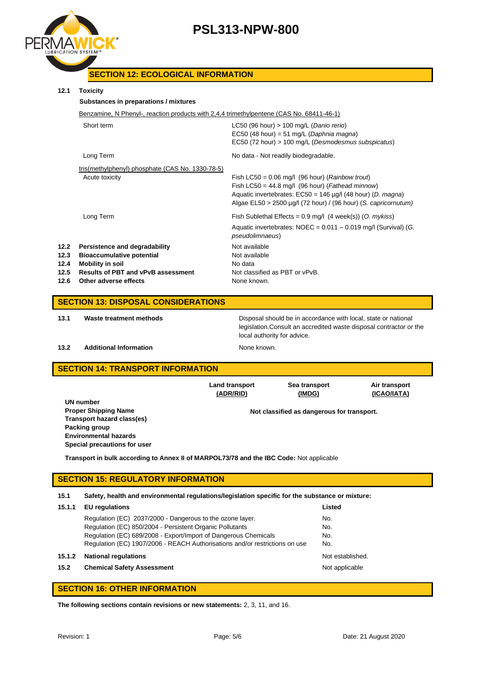

## **SECTION 12: ECOLOGICAL INFORMATION**

### **12.1 Toxicity**

| Toxicitv                                                                                                                                                           |                                                                                                                                                                                                                                                            |  |  |
|--------------------------------------------------------------------------------------------------------------------------------------------------------------------|------------------------------------------------------------------------------------------------------------------------------------------------------------------------------------------------------------------------------------------------------------|--|--|
|                                                                                                                                                                    |                                                                                                                                                                                                                                                            |  |  |
| Benzamine, N Phenyl-, reaction products with 2,4,4 trimethylpentene (CAS No. 68411-46-1)                                                                           |                                                                                                                                                                                                                                                            |  |  |
| Short term                                                                                                                                                         | LC50 (96 hour) $> 100$ mg/L (Danio rerio)<br>EC50 (48 hour) = 51 mg/L (Daphnia magna)<br>EC50 (72 hour) > 100 mg/L (Desmodesmus subspicatus)                                                                                                               |  |  |
| Long Term                                                                                                                                                          | No data - Not readily biodegradable.                                                                                                                                                                                                                       |  |  |
| tris(methylphenyl) phosphate (CAS No. 1330-78-5)<br>Acute toxicity                                                                                                 | Fish LC50 = $0.06$ mg/l (96 hour) ( <i>Rainbow trout</i> )<br>Fish LC50 = 44.8 mg/l (96 hour) (Fathead minnow)<br>Aquatic invertebrates: $EC50 = 146 \mu g/l$ (48 hour) (D. magna)<br>Algae $EL50 > 2500 \mu g/l$ (72 hour) / (96 hour) (S. capricornutum) |  |  |
| Long Term                                                                                                                                                          | Fish Sublethal Effects = $0.9$ mg/l (4 week(s)) (O. mykiss)<br>Aquatic invertebrates: $NOEC = 0.011 - 0.019$ mg/l (Survival) (G.<br>pseudolimnaeus)                                                                                                        |  |  |
| Persistence and degradability<br><b>Bioaccumulative potential</b><br><b>Mobility in soil</b><br><b>Results of PBT and vPvB assessment</b><br>Other adverse effects | Not available<br>Not available<br>No data<br>Not classified as PBT or vPvB.<br>None known.                                                                                                                                                                 |  |  |
|                                                                                                                                                                    | Substances in preparations / mixtures                                                                                                                                                                                                                      |  |  |

### **SECTION 13: DISPOSAL CONSIDERATIONS**

**13.1 Waste treatment methods** Disposal should be in accordance with local, state or national legislation.Consult an accredited waste disposal contractor or the local authority for advice.

### **13.2 Additional Information None known.**

## **SECTION 14: TRANSPORT INFORMATION**

|                                                                                         | <b>Land transport</b><br>(ADR/RID) | Sea transport<br>(IMDG)                    | Air transport<br>(ICAO/IATA) |  |
|-----------------------------------------------------------------------------------------|------------------------------------|--------------------------------------------|------------------------------|--|
| UN number                                                                               |                                    |                                            |                              |  |
| <b>Proper Shipping Name</b>                                                             |                                    | Not classified as dangerous for transport. |                              |  |
| Transport hazard class(es)                                                              |                                    |                                            |                              |  |
| Packing group                                                                           |                                    |                                            |                              |  |
| <b>Environmental hazards</b>                                                            |                                    |                                            |                              |  |
| Special precautions for user                                                            |                                    |                                            |                              |  |
| Transport in bulk according to Annex II of MARPOL73/78 and the IBC Code: Not applicable |                                    |                                            |                              |  |

### **SECTION 15: REGULATORY INFORMATION**

**15.1 Safety, health and environmental regulations/legislation specific for the substance or mixture:**

| 15.1.1 | <b>EU</b> regulations                                                       | Listed           |
|--------|-----------------------------------------------------------------------------|------------------|
|        | Regulation (EC) 2037/2000 - Dangerous to the ozone layer.                   | No.              |
|        | Regulation (EC) 850/2004 - Persistent Organic Pollutants                    | No.              |
|        | Regulation (EC) 689/2008 - Export/Import of Dangerous Chemicals             | No.              |
|        | Regulation (EC) 1907/2006 - REACH Authorisations and/or restrictions on use | No.              |
| 15.1.2 | <b>National regulations</b>                                                 | Not established. |
| 15.2   | <b>Chemical Safety Assessment</b>                                           | Not applicable   |
|        |                                                                             |                  |

### **SECTION 16: OTHER INFORMATION**

**The following sections contain revisions or new statements:** 2, 3, 11, and 16.